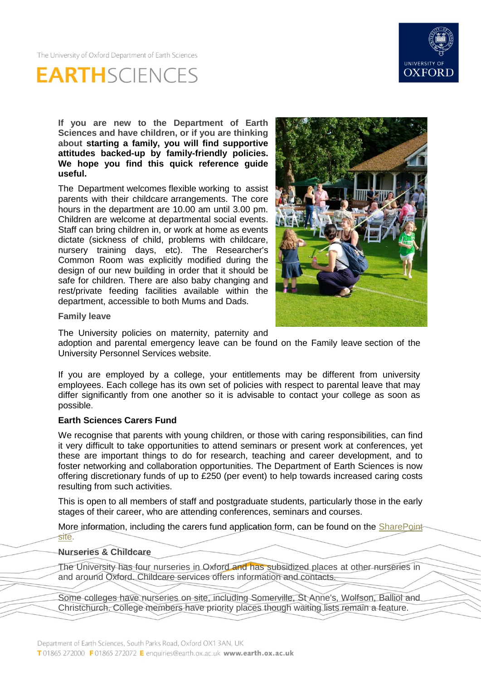



**If you are new to the Department of Earth Sciences and have children, or if you are thinking about starting a family, you will find supportive attitudes backed-up by family-friendly policies. We hope you find this quick reference guide useful.**

The Department welcomes flexible working to assist parents with their childcare arrangements. The core hours in the department are 10.00 am until 3.00 pm. Children are welcome at departmental social events. Staff can bring children in, or work at home as events dictate (sickness of child, problems with childcare, nursery training days, etc). The Researcher's Common Room was explicitly modified during the design of our new building in order that it should be safe for children. There are also baby changing and rest/private feeding facilities available within the department, accessible to both Mums and Dads.



**Family leave**

The University policies on maternity, paternity and

adoption and parental emergency leave can be found on the [Family leave](http://www.admin.ox.ac.uk/personnel/during/family/) section of the University Personnel Services website.

If you are employed by a college, your entitlements may be different from university employees. Each college has its own set of policies with respect to parental leave that may differ significantly from one another so it is advisable to contact your college as soon as possible.

## **Earth Sciences Carers Fund**

We recognise that parents with young children, or those with caring responsibilities, can find it very difficult to take opportunities to attend seminars or present work at conferences, yet these are important things to do for research, teaching and career development, and to foster networking and collaboration opportunities. The Department of Earth Sciences is now offering discretionary funds of up to £250 (per event) to help towards increased caring costs resulting from such activities.

This is open to all members of staff and postgraduate students, particularly those in the early stages of their career, who are attending conferences, seminars and courses.

More information, including the carers fund application form, can be found on the SharePoint [site.](https://sharepoint.nexus.ox.ac.uk/sites/earthsci/admin/hr/SitePages/Family%20Friendly%20Policies%20and%20Procedures.aspx)

## **Nurseries & Childcare**

The University has four nurseries in Oxford and has subsidized places at other nurseries in and around Oxford. [Childcare services](http://www.admin.ox.ac.uk/childcare/) offers information and contacts.

Some colleges have nurseries on site, including Somerville, St Anne's, Wolfson, Balliol and Christchurch. College members have priority places though waiting lists remain a feature.